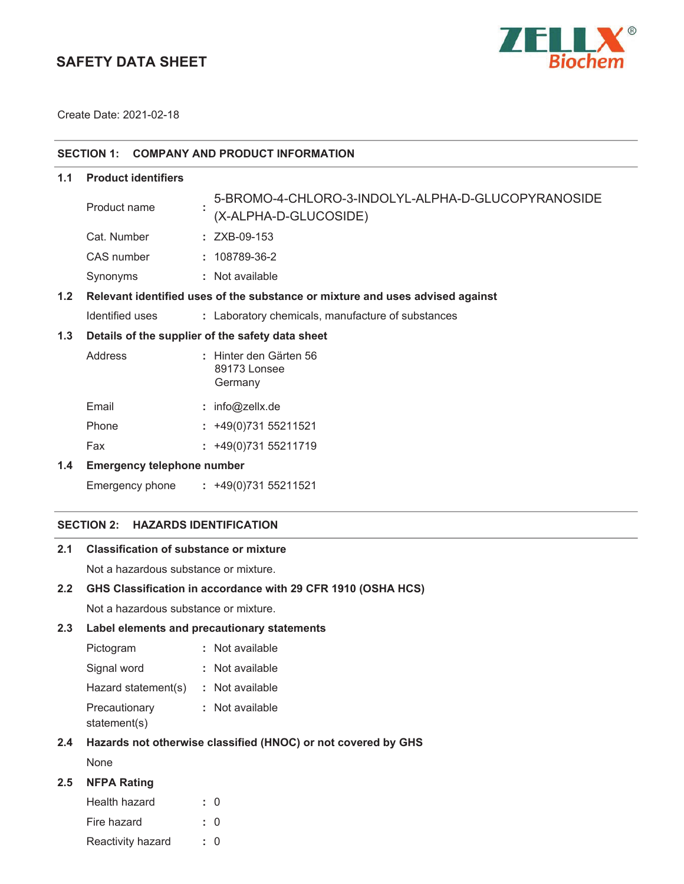# **SAFETY DATA SHEET**



Create Date:

| SECTION 1: COMPANY AND PRODUCT INFORMATION |  |  |
|--------------------------------------------|--|--|
|                                            |  |  |

**1.1 Product identifiers**

|     | Product name    | 5-BROMO-4-CHLORO-3-INDOLYL-ALPHA-D-GLUCOPYRANOSIDE<br>(X-ALPHA-D-GLUCOSIDE)   |
|-----|-----------------|-------------------------------------------------------------------------------|
|     | Cat. Number     | $: ZXB-09-153$                                                                |
|     | CAS number      | $: 108789-36-2$                                                               |
|     | Synonyms        | : Not available                                                               |
| 1.2 |                 | Relevant identified uses of the substance or mixture and uses advised against |
|     | Identified uses | : Laboratory chemicals, manufacture of substances                             |
|     |                 | 1.3 Details of the supplier of the safety data sheet                          |

# **1.3 Details of the supplier of the safety data sheet**

| Address | : Hinter den Gärten 56<br>89173 Lonsee<br>Germany |
|---------|---------------------------------------------------|
| Email   | : info@zellx.de                                   |
| Phone   | $: +49(0)73155211521$                             |
| Fax     | $: +49(0)73155211719$                             |

### **1.4 Emergency telephone number**

### **SECTION 2: HAZARDS IDENTIFICATION**

## **2.1 Classification of substance or mixture**

Not a hazardous substance or mixture.

### **2.2 GHS Classification in accordance with 29 CFR 1910 (OSHA HCS)**

Not a hazardous substance or mixture.

### **2.3 Label elements and precautionary statements**

| Pictogram           | : Not available |
|---------------------|-----------------|
| Signal word         | : Not available |
| Hazard statement(s) | : Not available |
| Precautionary       | : Not available |
| statement(s)        |                 |

### **2.4 Hazards not otherwise classified (HNOC) or not covered by GHS**

None

## **2.5 NFPA Rating**

| Health hazard     | : 0       |
|-------------------|-----------|
| Fire hazard       | $\cdot$ 0 |
| Reactivity hazard | $\cdot$ 0 |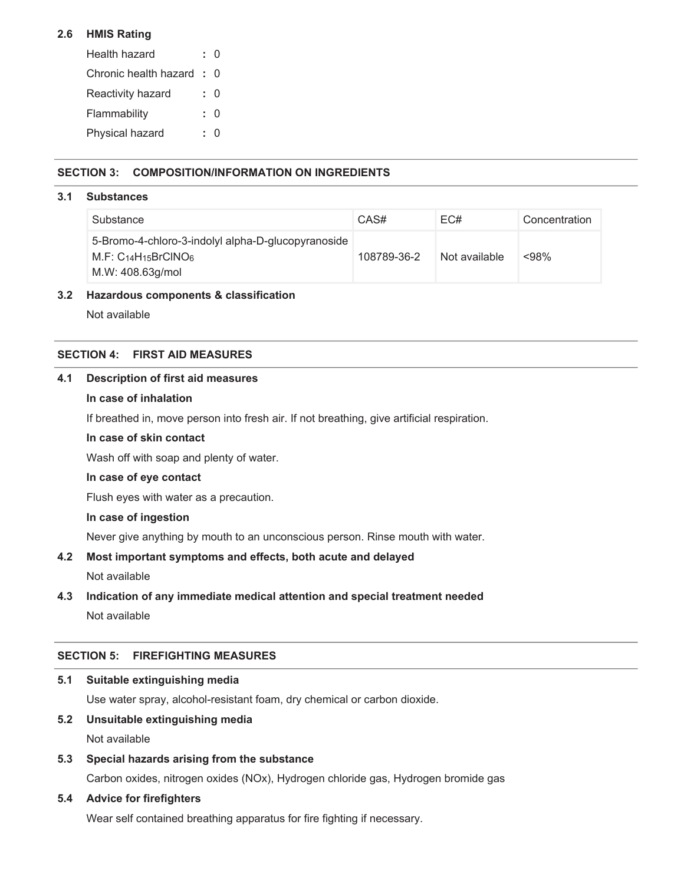### **2.6 HMIS Rating**

| Health hazard             | ח - |
|---------------------------|-----|
| Chronic health hazard : 0 |     |
| Reactivity hazard         | : ი |
| Flammability              | : ი |
| Physical hazard           |     |

### **SECTION 3: COMPOSITION/INFORMATION ON INGREDIENTS**

#### **3.1 Substances**

| Substance                                                                                            | CAS#        | EC#           | Concentration |
|------------------------------------------------------------------------------------------------------|-------------|---------------|---------------|
| 5-Bromo-4-chloro-3-indolyl alpha-D-glucopyranoside<br>M.F: $C_{14}H_{15}BrClNO6$<br>M.W: 408.63g/mol | 108789-36-2 | Not available | $< 98\%$      |

#### **3.2 Hazardous components & classification**

Not available

#### **SECTION 4: FIRST AID MEASURES**

#### **4.1 Description of first aid measures**

#### **In case of inhalation**

If breathed in, move person into fresh air. If not breathing, give artificial respiration.

#### **In case of skin contact**

Wash off with soap and plenty of water.

#### **In case of eye contact**

Flush eyes with water as a precaution.

#### **In case of ingestion**

Never give anything by mouth to an unconscious person. Rinse mouth with water.

#### **4.2 Most important symptoms and effects, both acute and delayed**

Not available

#### **4.3 Indication of any immediate medical attention and special treatment needed**

Not available

#### **SECTION 5: FIREFIGHTING MEASURES**

#### **5.1 Suitable extinguishing media**

Use water spray, alcohol-resistant foam, dry chemical or carbon dioxide.

### **5.2 Unsuitable extinguishing media**

Not available

### **5.3 Special hazards arising from the substance**

Carbon oxides, nitrogen oxides (NOx), Hydrogen chloride gas, Hydrogen bromide gas

### **5.4 Advice for firefighters**

Wear self contained breathing apparatus for fire fighting if necessary.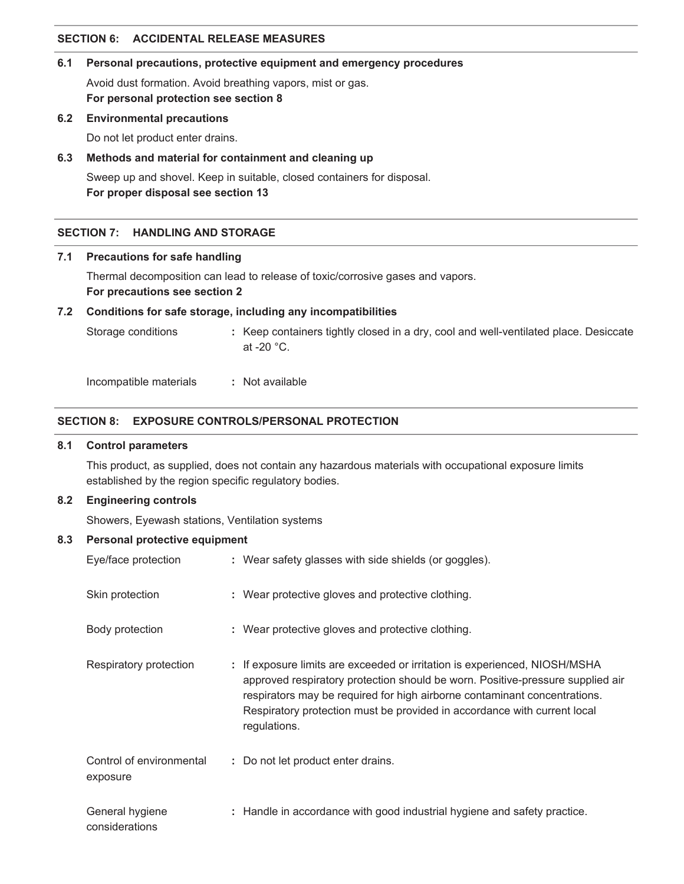### **SECTION 6: ACCIDENTAL RELEASE MEASURES**

## **6.1 Personal precautions, protective equipment and emergency procedures**

Avoid dust formation. Avoid breathing vapors, mist or gas. **For personal protection see section 8**

## **6.2 Environmental precautions**

Do not let product enter drains.

## **6.3 Methods and material for containment and cleaning up**

Sweep up and shovel. Keep in suitable, closed containers for disposal. **For proper disposal see section 13**

## **SECTION 7: HANDLING AND STORAGE**

## **7.1 Precautions for safe handling**

Thermal decomposition can lead to release of toxic/corrosive gases and vapors.

## **For precautions see section 2**

## **7.2 Conditions for safe storage, including any incompatibilities**

Storage conditions **:** Keep containers tightly closed in a dry, cool and well-ventilated place. Desiccate at -20 °C.

Incompatible materials **:** Not available

## **SECTION 8: EXPOSURE CONTROLS/PERSONAL PROTECTION**

## **8.1 Control parameters**

This product, as supplied, does not contain any hazardous materials with occupational exposure limits established by the region specific regulatory bodies.

## **8.2 Engineering controls**

Showers, Eyewash stations, Ventilation systems

## **8.3 Personal protective equipment**

| Eye/face protection                  | : Wear safety glasses with side shields (or goggles).                                                                                                                                                                                                                                                                                 |  |
|--------------------------------------|---------------------------------------------------------------------------------------------------------------------------------------------------------------------------------------------------------------------------------------------------------------------------------------------------------------------------------------|--|
| Skin protection                      | : Wear protective gloves and protective clothing.                                                                                                                                                                                                                                                                                     |  |
| Body protection                      | : Wear protective gloves and protective clothing.                                                                                                                                                                                                                                                                                     |  |
| Respiratory protection               | : If exposure limits are exceeded or irritation is experienced, NIOSH/MSHA<br>approved respiratory protection should be worn. Positive-pressure supplied air<br>respirators may be required for high airborne contaminant concentrations.<br>Respiratory protection must be provided in accordance with current local<br>regulations. |  |
| Control of environmental<br>exposure | : Do not let product enter drains.                                                                                                                                                                                                                                                                                                    |  |
| General hygiene<br>considerations    | : Handle in accordance with good industrial hygiene and safety practice.                                                                                                                                                                                                                                                              |  |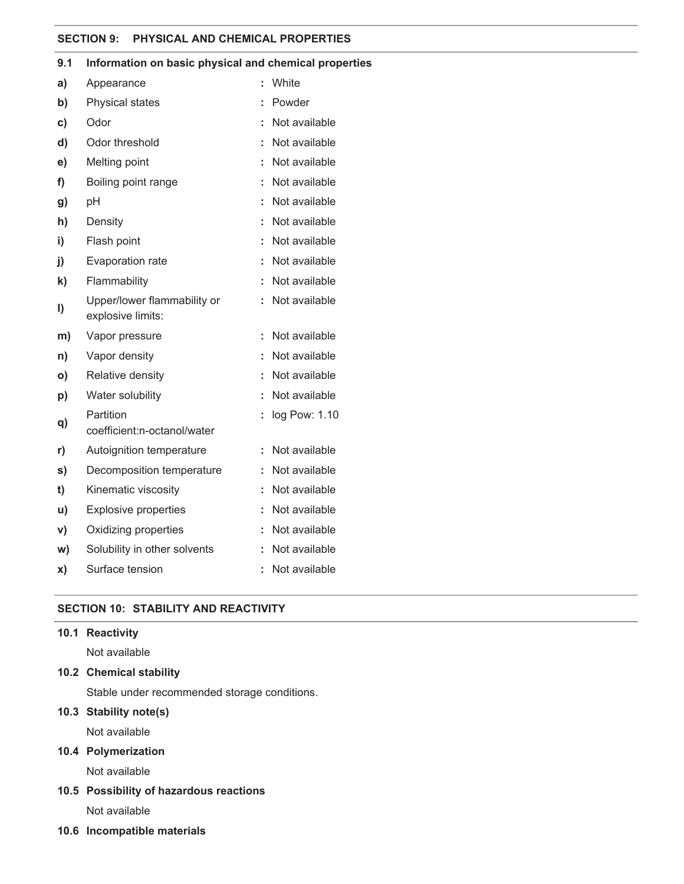#### **SECTION 9: PHYSICAL AND CHEMICAL PROPERTIES**

|               | mioniaaon on pasic physical and chemical prop    |    |               |
|---------------|--------------------------------------------------|----|---------------|
| a)            | Appearance                                       | t  | White         |
| b)            | Physical states                                  |    | Powder        |
| $\mathbf{c})$ | Odor                                             | t  | Not available |
| d)            | Odor threshold                                   |    | Not available |
| e)            | Melting point                                    | Ĩ. | Not available |
| f)            | Boiling point range                              | ÷  | Not available |
| g)            | рH                                               | t  | Not available |
| h)            | Density                                          | t  | Not available |
| i)            | Flash point                                      |    | Not available |
| $\mathbf{i}$  | Evaporation rate                                 | t  | Not available |
| $\mathbf{k}$  | Flammability                                     | t  | Not available |
| I)            | Upper/lower flammability or<br>explosive limits: |    | Not available |
| m)            | Vapor pressure                                   | t  | Not available |
| n)            | Vapor density                                    | t  | Not available |
| O)            | Relative density                                 |    | Not available |
| p)            | Water solubility                                 |    | Not available |
| q)            | Partition<br>coefficient:n-octanol/water         |    | log Pow: 1.10 |
| r)            | Autoignition temperature                         |    | Not available |
| s)            | Decomposition temperature                        |    | Not available |
| t)            | Kinematic viscosity                              |    | Not available |
| u)            | <b>Explosive properties</b>                      | t  | Not available |
| V)            | Oxidizing properties                             | ÷  | Not available |
| W)            | Solubility in other solvents                     | t  | Not available |
| X)            | Surface tension                                  | t  | Not available |

### **9.1 Information on basic physical and chemical properties**

### **SECTION 10: STABILITY AND REACTIVITY**

## **10.1 Reactivity**

Not available

#### **10.2 Chemical stability**

Stable under recommended storage conditions.

### **10.3 Stability note(s)**

Not available

### **10.4 Polymerization**

Not available

# **10.5 Possibility of hazardous reactions**

Not available

#### **10.6 Incompatible materials**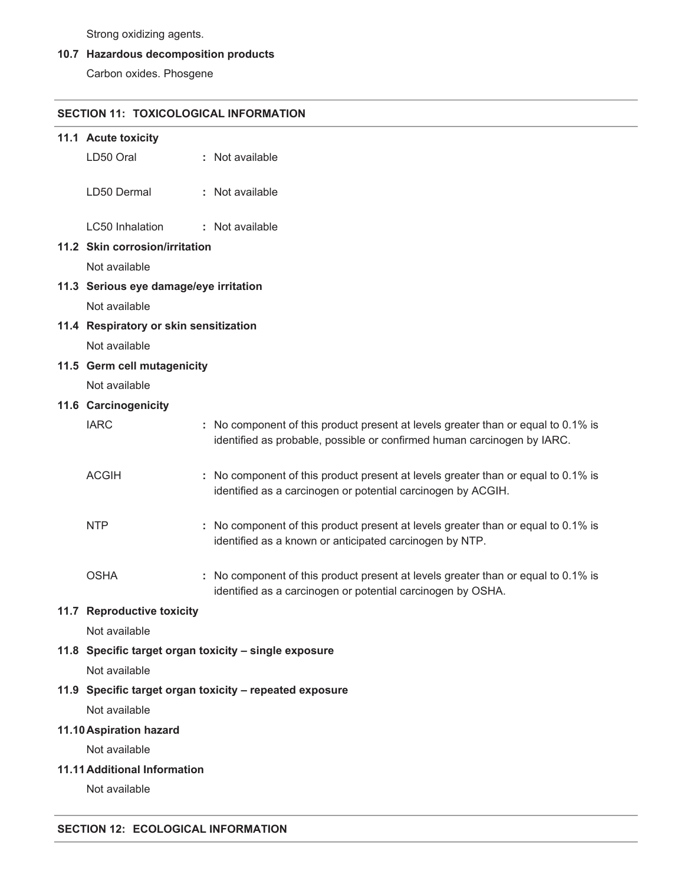Strong oxidizing agents.

## **10.7 Hazardous decomposition products**

Carbon oxides. Phosgene

#### **SECTION 11: TOXICOLOGICAL INFORMATION**

| 11.1 Acute toxicity                                     |  |                                                                                                                                                              |  |  |
|---------------------------------------------------------|--|--------------------------------------------------------------------------------------------------------------------------------------------------------------|--|--|
| LD50 Oral                                               |  | : Not available                                                                                                                                              |  |  |
| LD50 Dermal                                             |  | : Not available                                                                                                                                              |  |  |
| LC50 Inhalation                                         |  | : Not available                                                                                                                                              |  |  |
| 11.2 Skin corrosion/irritation                          |  |                                                                                                                                                              |  |  |
| Not available                                           |  |                                                                                                                                                              |  |  |
| 11.3 Serious eye damage/eye irritation                  |  |                                                                                                                                                              |  |  |
| Not available                                           |  |                                                                                                                                                              |  |  |
| 11.4 Respiratory or skin sensitization                  |  |                                                                                                                                                              |  |  |
| Not available                                           |  |                                                                                                                                                              |  |  |
| 11.5 Germ cell mutagenicity                             |  |                                                                                                                                                              |  |  |
| Not available                                           |  |                                                                                                                                                              |  |  |
| 11.6 Carcinogenicity                                    |  |                                                                                                                                                              |  |  |
| <b>IARC</b>                                             |  | : No component of this product present at levels greater than or equal to 0.1% is<br>identified as probable, possible or confirmed human carcinogen by IARC. |  |  |
| <b>ACGIH</b>                                            |  | : No component of this product present at levels greater than or equal to 0.1% is<br>identified as a carcinogen or potential carcinogen by ACGIH.            |  |  |
| <b>NTP</b>                                              |  | : No component of this product present at levels greater than or equal to 0.1% is<br>identified as a known or anticipated carcinogen by NTP.                 |  |  |
| <b>OSHA</b>                                             |  | : No component of this product present at levels greater than or equal to 0.1% is<br>identified as a carcinogen or potential carcinogen by OSHA.             |  |  |
| 11.7 Reproductive toxicity                              |  |                                                                                                                                                              |  |  |
| Not available                                           |  |                                                                                                                                                              |  |  |
|                                                         |  | 11.8 Specific target organ toxicity - single exposure                                                                                                        |  |  |
| Not available                                           |  |                                                                                                                                                              |  |  |
| 11.9 Specific target organ toxicity - repeated exposure |  |                                                                                                                                                              |  |  |
| Not available                                           |  |                                                                                                                                                              |  |  |
| 11.10 Aspiration hazard                                 |  |                                                                                                                                                              |  |  |
| Not available                                           |  |                                                                                                                                                              |  |  |
| 11.11 Additional Information                            |  |                                                                                                                                                              |  |  |
| Not available                                           |  |                                                                                                                                                              |  |  |

### **SECTION 12: ECOLOGICAL INFORMATION**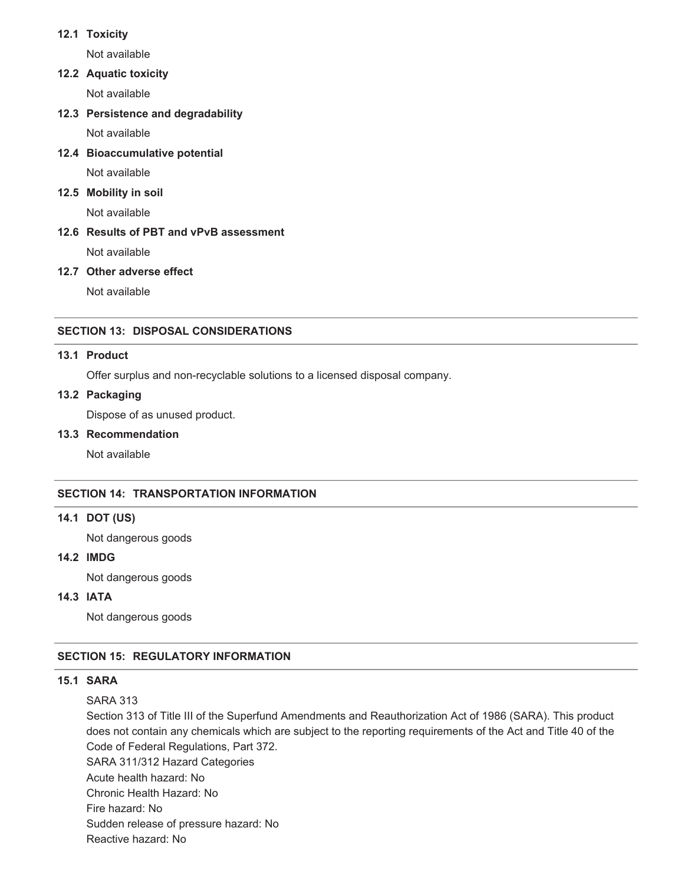### **12.1 Toxicity**

Not available

## **12.2 Aquatic toxicity**

Not available

**12.3 Persistence and degradability**

Not available

**12.4 Bioaccumulative potential**

Not available

## **12.5 Mobility in soil**

Not available

# **12.6 Results of PBT and vPvB assessment**

Not available

### **12.7 Other adverse effect**

Not available

## **SECTION 13: DISPOSAL CONSIDERATIONS**

### **13.1 Product**

Offer surplus and non-recyclable solutions to a licensed disposal company.

## **13.2 Packaging**

Dispose of as unused product.

### **13.3 Recommendation**

Not available

### **SECTION 14: TRANSPORTATION INFORMATION**

### **14.1 DOT (US)**

Not dangerous goods

### **14.2 IMDG**

Not dangerous goods

## **14.3 IATA**

Not dangerous goods

### **SECTION 15: REGULATORY INFORMATION**

### **15.1 SARA**

SARA 313

Section 313 of Title III of the Superfund Amendments and Reauthorization Act of 1986 (SARA). This product does not contain any chemicals which are subject to the reporting requirements of the Act and Title 40 of the Code of Federal Regulations, Part 372.

SARA 311/312 Hazard Categories

Acute health hazard: No

Chronic Health Hazard: No

Fire hazard: No

Sudden release of pressure hazard: No

Reactive hazard: No